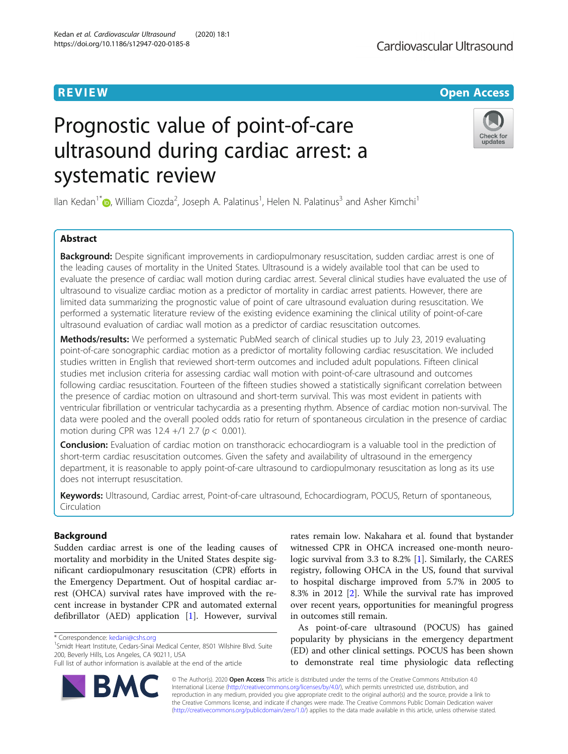# Prognostic value of point-of-care ultrasound during cardiac arrest: a systematic review

Ilan Kedan<sup>1[\\*](http://orcid.org/0000-0002-0871-3713)</sup> , William Ciozda<sup>2</sup>, Joseph A. Palatinus<sup>1</sup>, Helen N. Palatinus<sup>3</sup> and Asher Kimchi<sup>1</sup>

## Abstract

Background: Despite significant improvements in cardiopulmonary resuscitation, sudden cardiac arrest is one of the leading causes of mortality in the United States. Ultrasound is a widely available tool that can be used to evaluate the presence of cardiac wall motion during cardiac arrest. Several clinical studies have evaluated the use of ultrasound to visualize cardiac motion as a predictor of mortality in cardiac arrest patients. However, there are limited data summarizing the prognostic value of point of care ultrasound evaluation during resuscitation. We performed a systematic literature review of the existing evidence examining the clinical utility of point-of-care ultrasound evaluation of cardiac wall motion as a predictor of cardiac resuscitation outcomes.

Methods/results: We performed a systematic PubMed search of clinical studies up to July 23, 2019 evaluating point-of-care sonographic cardiac motion as a predictor of mortality following cardiac resuscitation. We included studies written in English that reviewed short-term outcomes and included adult populations. Fifteen clinical studies met inclusion criteria for assessing cardiac wall motion with point-of-care ultrasound and outcomes following cardiac resuscitation. Fourteen of the fifteen studies showed a statistically significant correlation between the presence of cardiac motion on ultrasound and short-term survival. This was most evident in patients with ventricular fibrillation or ventricular tachycardia as a presenting rhythm. Absence of cardiac motion non-survival. The data were pooled and the overall pooled odds ratio for return of spontaneous circulation in the presence of cardiac motion during CPR was  $12.4 + / 12.7$  ( $p < 0.001$ ).

**Conclusion:** Evaluation of cardiac motion on transthoracic echocardiogram is a valuable tool in the prediction of short-term cardiac resuscitation outcomes. Given the safety and availability of ultrasound in the emergency department, it is reasonable to apply point-of-care ultrasound to cardiopulmonary resuscitation as long as its use does not interrupt resuscitation.

Keywords: Ultrasound, Cardiac arrest, Point-of-care ultrasound, Echocardiogram, POCUS, Return of spontaneous, Circulation

## Background

Sudden cardiac arrest is one of the leading causes of mortality and morbidity in the United States despite significant cardiopulmonary resuscitation (CPR) efforts in the Emergency Department. Out of hospital cardiac arrest (OHCA) survival rates have improved with the recent increase in bystander CPR and automated external defibrillator (AED) application [[1\]](#page-8-0). However, survival

\* Correspondence: [kedani@cshs.org](mailto:kedani@cshs.org) <sup>1</sup>

<sup>1</sup>Smidt Heart Institute, Cedars-Sinai Medical Center, 8501 Wilshire Blvd. Suite 200, Beverly Hills, Los Angeles, CA 90211, USA

rates remain low. Nakahara et al. found that bystander witnessed CPR in OHCA increased one-month neurologic survival from 3.3 to 8.2% [\[1](#page-8-0)]. Similarly, the CARES registry, following OHCA in the US, found that survival to hospital discharge improved from 5.7% in 2005 to 8.3% in 2012 [[2\]](#page-8-0). While the survival rate has improved over recent years, opportunities for meaningful progress in outcomes still remain.

As point-of-care ultrasound (POCUS) has gained popularity by physicians in the emergency department (ED) and other clinical settings. POCUS has been shown to demonstrate real time physiologic data reflecting

© The Author(s). 2020 **Open Access** This article is distributed under the terms of the Creative Commons Attribution 4.0 International License [\(http://creativecommons.org/licenses/by/4.0/](http://creativecommons.org/licenses/by/4.0/)), which permits unrestricted use, distribution, and reproduction in any medium, provided you give appropriate credit to the original author(s) and the source, provide a link to the Creative Commons license, and indicate if changes were made. The Creative Commons Public Domain Dedication waiver [\(http://creativecommons.org/publicdomain/zero/1.0/](http://creativecommons.org/publicdomain/zero/1.0/)) applies to the data made available in this article, unless otherwise stated.





## **REVIEW CONTROL** CONTROL CONTROL CONTROL CONTROL CONTROL CONTROL CONTROL CONTROL CONTROL CONTROL CONTROL CONTROL

Full list of author information is available at the end of the article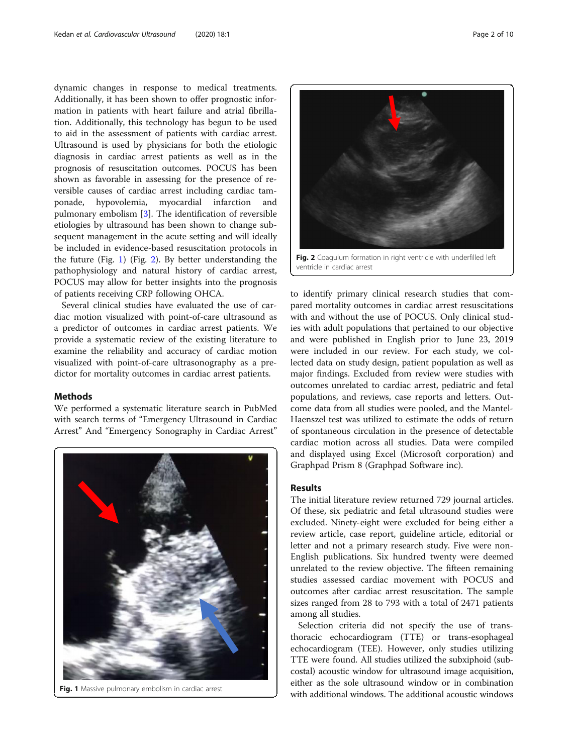dynamic changes in response to medical treatments. Additionally, it has been shown to offer prognostic information in patients with heart failure and atrial fibrillation. Additionally, this technology has begun to be used to aid in the assessment of patients with cardiac arrest. Ultrasound is used by physicians for both the etiologic diagnosis in cardiac arrest patients as well as in the prognosis of resuscitation outcomes. POCUS has been shown as favorable in assessing for the presence of reversible causes of cardiac arrest including cardiac tamponade, hypovolemia, myocardial infarction and pulmonary embolism [\[3](#page-8-0)]. The identification of reversible etiologies by ultrasound has been shown to change subsequent management in the acute setting and will ideally be included in evidence-based resuscitation protocols in the future (Fig. 1) (Fig. 2). By better understanding the pathophysiology and natural history of cardiac arrest, POCUS may allow for better insights into the prognosis of patients receiving CRP following OHCA.

Several clinical studies have evaluated the use of cardiac motion visualized with point-of-care ultrasound as a predictor of outcomes in cardiac arrest patients. We provide a systematic review of the existing literature to examine the reliability and accuracy of cardiac motion visualized with point-of-care ultrasonography as a predictor for mortality outcomes in cardiac arrest patients.

#### Methods

We performed a systematic literature search in PubMed with search terms of "Emergency Ultrasound in Cardiac Arrest" And "Emergency Sonography in Cardiac Arrest"





to identify primary clinical research studies that compared mortality outcomes in cardiac arrest resuscitations with and without the use of POCUS. Only clinical studies with adult populations that pertained to our objective and were published in English prior to June 23, 2019 were included in our review. For each study, we collected data on study design, patient population as well as major findings. Excluded from review were studies with outcomes unrelated to cardiac arrest, pediatric and fetal populations, and reviews, case reports and letters. Outcome data from all studies were pooled, and the Mantel-Haenszel test was utilized to estimate the odds of return of spontaneous circulation in the presence of detectable cardiac motion across all studies. Data were compiled and displayed using Excel (Microsoft corporation) and Graphpad Prism 8 (Graphpad Software inc).

## Results

The initial literature review returned 729 journal articles. Of these, six pediatric and fetal ultrasound studies were excluded. Ninety-eight were excluded for being either a review article, case report, guideline article, editorial or letter and not a primary research study. Five were non-English publications. Six hundred twenty were deemed unrelated to the review objective. The fifteen remaining studies assessed cardiac movement with POCUS and outcomes after cardiac arrest resuscitation. The sample sizes ranged from 28 to 793 with a total of 2471 patients among all studies.

Selection criteria did not specify the use of transthoracic echocardiogram (TTE) or trans-esophageal echocardiogram (TEE). However, only studies utilizing TTE were found. All studies utilized the subxiphoid (subcostal) acoustic window for ultrasound image acquisition, either as the sole ultrasound window or in combination Fig. 1 Massive pulmonary embolism in cardiac arrest with additional windows. The additional acoustic windows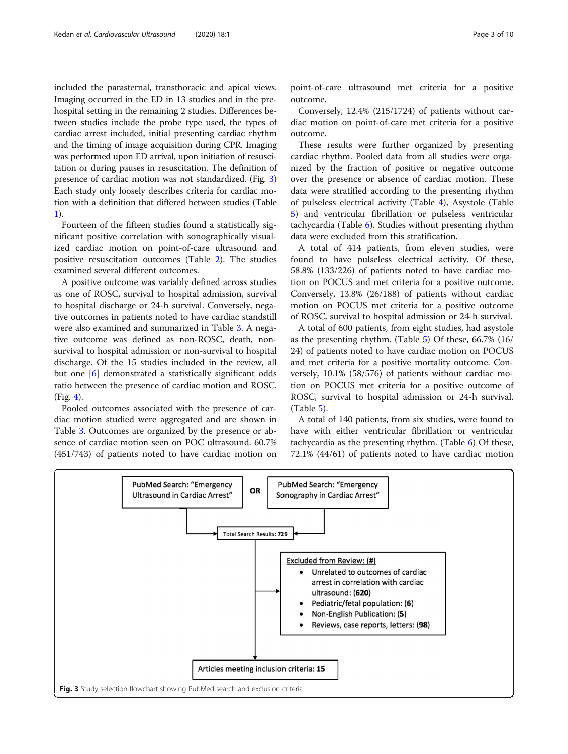included the parasternal, transthoracic and apical views. Imaging occurred in the ED in 13 studies and in the prehospital setting in the remaining 2 studies. Differences between studies include the probe type used, the types of cardiac arrest included, initial presenting cardiac rhythm and the timing of image acquisition during CPR. Imaging was performed upon ED arrival, upon initiation of resuscitation or during pauses in resuscitation. The definition of presence of cardiac motion was not standardized. (Fig. 3) Each study only loosely describes criteria for cardiac motion with a definition that differed between studies (Table [1\)](#page-3-0).

Fourteen of the fifteen studies found a statistically significant positive correlation with sonographically visualized cardiac motion on point-of-care ultrasound and positive resuscitation outcomes (Table [2\)](#page-3-0). The studies examined several different outcomes.

A positive outcome was variably defined across studies as one of ROSC, survival to hospital admission, survival to hospital discharge or 24-h survival. Conversely, negative outcomes in patients noted to have cardiac standstill were also examined and summarized in Table [3.](#page-4-0) A negative outcome was defined as non-ROSC, death, nonsurvival to hospital admission or non-survival to hospital discharge. Of the 15 studies included in the review, all but one [\[6](#page-8-0)] demonstrated a statistically significant odds ratio between the presence of cardiac motion and ROSC. (Fig. [4](#page-5-0)).

Pooled outcomes associated with the presence of cardiac motion studied were aggregated and are shown in Table [3.](#page-4-0) Outcomes are organized by the presence or absence of cardiac motion seen on POC ultrasound. 60.7% (451/743) of patients noted to have cardiac motion on

point-of-care ultrasound met criteria for a positive outcome.

Conversely, 12.4% (215/1724) of patients without cardiac motion on point-of-care met criteria for a positive outcome.

These results were further organized by presenting cardiac rhythm. Pooled data from all studies were organized by the fraction of positive or negative outcome over the presence or absence of cardiac motion. These data were stratified according to the presenting rhythm of pulseless electrical activity (Table [4\)](#page-5-0), Asystole (Table [5\)](#page-6-0) and ventricular fibrillation or pulseless ventricular tachycardia (Table [6\)](#page-6-0). Studies without presenting rhythm data were excluded from this stratification.

A total of 414 patients, from eleven studies, were found to have pulseless electrical activity. Of these, 58.8% (133/226) of patients noted to have cardiac motion on POCUS and met criteria for a positive outcome. Conversely, 13.8% (26/188) of patients without cardiac motion on POCUS met criteria for a positive outcome of ROSC, survival to hospital admission or 24-h survival.

A total of 600 patients, from eight studies, had asystole as the presenting rhythm. (Table [5](#page-6-0)) Of these, 66.7% (16/ 24) of patients noted to have cardiac motion on POCUS and met criteria for a positive mortality outcome. Conversely, 10.1% (58/576) of patients without cardiac motion on POCUS met criteria for a positive outcome of ROSC, survival to hospital admission or 24-h survival. (Table [5\)](#page-6-0).

A total of 140 patients, from six studies, were found to have with either ventricular fibrillation or ventricular tachycardia as the presenting rhythm. (Table [6\)](#page-6-0) Of these, 72.1% (44/61) of patients noted to have cardiac motion

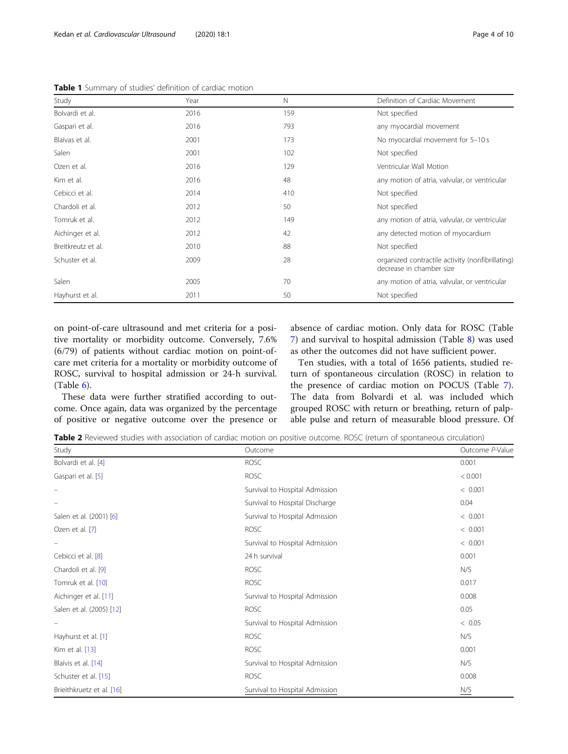<span id="page-3-0"></span>Table 1 Summary of studies' definition of cardiac motion

| Study              | Year | N   | Definition of Cardiac Movement                                               |
|--------------------|------|-----|------------------------------------------------------------------------------|
| Bolvardi et al.    | 2016 | 159 | Not specified                                                                |
| Gaspari et al.     | 2016 | 793 | any myocardial movement                                                      |
| Blaivas et al.     | 2001 | 173 | No myocardial movement for 5-10 s                                            |
| Salen              | 2001 | 102 | Not specified                                                                |
| Ozen et al.        | 2016 | 129 | Ventricular Wall Motion                                                      |
| Kim et al.         | 2016 | 48  | any motion of atria, valvular, or ventricular                                |
| Cebicci et al.     | 2014 | 410 | Not specified                                                                |
| Chardoli et al.    | 2012 | 50  | Not specified                                                                |
| Tomruk et al.      | 2012 | 149 | any motion of atria, valvular, or ventricular                                |
| Aichinger et al.   | 2012 | 42  | any detected motion of myocardium                                            |
| Breitkreutz et al. | 2010 | 88  | Not specified                                                                |
| Schuster et al.    | 2009 | 28  | organized contractile activity (nonfibrillating)<br>decrease in chamber size |
| Salen              | 2005 | 70  | any motion of atria, valvular, or ventricular                                |
| Hayhurst et al.    | 2011 | 50  | Not specified                                                                |

on point-of-care ultrasound and met criteria for a positive mortality or morbidity outcome. Conversely, 7.6% (6/79) of patients without cardiac motion on point-ofcare met criteria for a mortality or morbidity outcome of ROSC, survival to hospital admission or 24-h survival. (Table [6\)](#page-6-0).

These data were further stratified according to outcome. Once again, data was organized by the percentage of positive or negative outcome over the presence or absence of cardiac motion. Only data for ROSC (Table [7\)](#page-7-0) and survival to hospital admission (Table [8\)](#page-7-0) was used as other the outcomes did not have sufficient power.

Ten studies, with a total of 1656 patients, studied return of spontaneous circulation (ROSC) in relation to the presence of cardiac motion on POCUS (Table [7](#page-7-0)). The data from Bolvardi et al. was included which grouped ROSC with return or breathing, return of palpable pulse and return of measurable blood pressure. Of

Table 2 Reviewed studies with association of cardiac motion on positive outcome. ROSC (return of spontaneous circulation)

| Study                     | Outcome                        | Outcome P-Value |
|---------------------------|--------------------------------|-----------------|
| Bolvardi et al. [4]       | <b>ROSC</b>                    | 0.001           |
| Gaspari et al. [5]        | <b>ROSC</b>                    | < 0.001         |
|                           | Survival to Hospital Admission | < 0.001         |
|                           | Survival to Hospital Discharge | 0.04            |
| Salen et al. (2001) [6]   | Survival to Hospital Admission | < 0.001         |
| Ozen et al. [7]           | <b>ROSC</b>                    | < 0.001         |
|                           | Survival to Hospital Admission | < 0.001         |
| Cebicci et al. [8]        | 24 h survival                  | 0.001           |
| Chardoli et al. [9]       | <b>ROSC</b>                    | N/S             |
| Tomruk et al. [10]        | <b>ROSC</b>                    | 0.017           |
| Aichinger et al. [11]     | Survival to Hospital Admission | 0.008           |
| Salen et al. (2005) [12]  | <b>ROSC</b>                    | 0.05            |
|                           | Survival to Hospital Admission | < 0.05          |
| Hayhurst et al. [1]       | <b>ROSC</b>                    | N/S             |
| Kim et al. [13]           | <b>ROSC</b>                    | 0.001           |
| Blaivis et al. [14]       | Survival to Hospital Admission | N/S             |
| Schuster et al. [15]      | <b>ROSC</b>                    | 0.008           |
| Brieithkruetz et al. [16] | Survival to Hospital Admission | N/S             |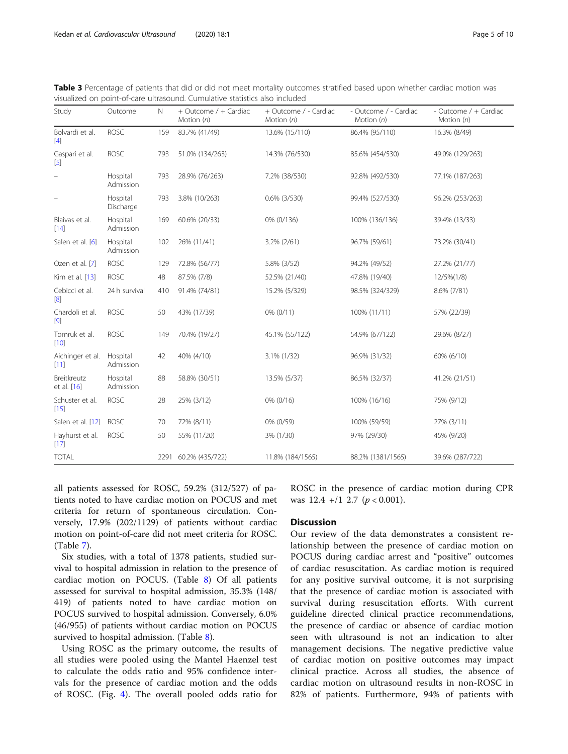| Study                      | Outcome               | $\mathbb N$ | + Outcome / + Cardiac<br>Motion $(n)$ | + Outcome / - Cardiac<br>Motion $(n)$ | - Outcome / - Cardiac<br>Motion (n) | - Outcome / + Cardiac<br>Motion $(n)$ |
|----------------------------|-----------------------|-------------|---------------------------------------|---------------------------------------|-------------------------------------|---------------------------------------|
| Bolvardi et al.<br>$[4]$   | <b>ROSC</b>           | 159         | 83.7% (41/49)                         | 13.6% (15/110)                        | 86.4% (95/110)                      | 16.3% (8/49)                          |
| Gaspari et al.<br>$[5]$    | <b>ROSC</b>           | 793         | 51.0% (134/263)                       | 14.3% (76/530)                        | 85.6% (454/530)                     | 49.0% (129/263)                       |
|                            | Hospital<br>Admission | 793         | 28.9% (76/263)                        | 7.2% (38/530)                         | 92.8% (492/530)                     | 77.1% (187/263)                       |
|                            | Hospital<br>Discharge | 793         | 3.8% (10/263)                         | $0.6\%$ (3/530)                       | 99.4% (527/530)                     | 96.2% (253/263)                       |
| Blaivas et al.<br>[14]     | Hospital<br>Admission | 169         | 60.6% (20/33)                         | 0% (0/136)                            | 100% (136/136)                      | 39.4% (13/33)                         |
| Salen et al. [6]           | Hospital<br>Admission | 102         | 26% (11/41)                           | 3.2% (2/61)                           | 96.7% (59/61)                       | 73.2% (30/41)                         |
| Ozen et al. [7]            | <b>ROSC</b>           | 129         | 72.8% (56/77)                         | 5.8% (3/52)                           | 94.2% (49/52)                       | 27.2% (21/77)                         |
| Kim et al. [13]            | <b>ROSC</b>           | 48          | 87.5% (7/8)                           | 52.5% (21/40)                         | 47.8% (19/40)                       | 12/5%(1/8)                            |
| Cebicci et al.<br>[8]      | 24 h survival         | 410         | 91.4% (74/81)                         | 15.2% (5/329)                         | 98.5% (324/329)                     | 8.6% (7/81)                           |
| Chardoli et al.<br>$[9]$   | <b>ROSC</b>           | 50          | 43% (17/39)                           | $0\%$ $(0/11)$                        | 100% (11/11)                        | 57% (22/39)                           |
| Tomruk et al.<br>$[10]$    | <b>ROSC</b>           | 149         | 70.4% (19/27)                         | 45.1% (55/122)                        | 54.9% (67/122)                      | 29.6% (8/27)                          |
| Aichinger et al.<br>[11]   | Hospital<br>Admission | 42          | 40% (4/10)                            | 3.1% (1/32)                           | 96.9% (31/32)                       | 60% (6/10)                            |
| Breitkreutz<br>et al. [16] | Hospital<br>Admission | 88          | 58.8% (30/51)                         | 13.5% (5/37)                          | 86.5% (32/37)                       | 41.2% (21/51)                         |
| Schuster et al.<br>$[15]$  | <b>ROSC</b>           | 28          | 25% (3/12)                            | 0% (0/16)                             | 100% (16/16)                        | 75% (9/12)                            |
| Salen et al. [12]          | <b>ROSC</b>           | 70          | 72% (8/11)                            | 0% (0/59)                             | 100% (59/59)                        | 27% (3/11)                            |
| Hayhurst et al.<br>$[17]$  | <b>ROSC</b>           | 50          | 55% (11/20)                           | 3% (1/30)                             | 97% (29/30)                         | 45% (9/20)                            |
| <b>TOTAL</b>               |                       |             | 2291 60.2% (435/722)                  | 11.8% (184/1565)                      | 88.2% (1381/1565)                   | 39.6% (287/722)                       |

<span id="page-4-0"></span>

| Table 3 Percentage of patients that did or did not meet mortality outcomes stratified based upon whether cardiac motion was |  |  |  |  |  |
|-----------------------------------------------------------------------------------------------------------------------------|--|--|--|--|--|
| visualized on point-of-care ultrasound. Cumulative statistics also included                                                 |  |  |  |  |  |

all patients assessed for ROSC, 59.2% (312/527) of patients noted to have cardiac motion on POCUS and met criteria for return of spontaneous circulation. Conversely, 17.9% (202/1129) of patients without cardiac motion on point-of-care did not meet criteria for ROSC. (Table [7\)](#page-7-0).

Six studies, with a total of 1378 patients, studied survival to hospital admission in relation to the presence of cardiac motion on POCUS. (Table [8\)](#page-7-0) Of all patients assessed for survival to hospital admission, 35.3% (148/ 419) of patients noted to have cardiac motion on POCUS survived to hospital admission. Conversely, 6.0% (46/955) of patients without cardiac motion on POCUS survived to hospital admission. (Table [8\)](#page-7-0).

Using ROSC as the primary outcome, the results of all studies were pooled using the Mantel Haenzel test to calculate the odds ratio and 95% confidence intervals for the presence of cardiac motion and the odds of ROSC. (Fig. [4](#page-5-0)). The overall pooled odds ratio for

ROSC in the presence of cardiac motion during CPR was  $12.4 +12.7$  ( $p < 0.001$ ).

## **Discussion**

Our review of the data demonstrates a consistent relationship between the presence of cardiac motion on POCUS during cardiac arrest and "positive" outcomes of cardiac resuscitation. As cardiac motion is required for any positive survival outcome, it is not surprising that the presence of cardiac motion is associated with survival during resuscitation efforts. With current guideline directed clinical practice recommendations, the presence of cardiac or absence of cardiac motion seen with ultrasound is not an indication to alter management decisions. The negative predictive value of cardiac motion on positive outcomes may impact clinical practice. Across all studies, the absence of cardiac motion on ultrasound results in non-ROSC in 82% of patients. Furthermore, 94% of patients with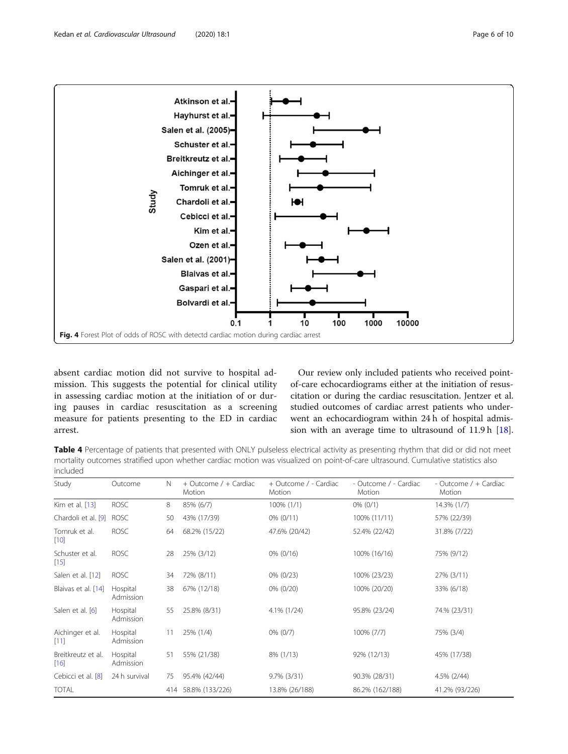<span id="page-5-0"></span>

absent cardiac motion did not survive to hospital admission. This suggests the potential for clinical utility in assessing cardiac motion at the initiation of or during pauses in cardiac resuscitation as a screening measure for patients presenting to the ED in cardiac arrest.

Our review only included patients who received pointof-care echocardiograms either at the initiation of resuscitation or during the cardiac resuscitation. Jentzer et al. studied outcomes of cardiac arrest patients who underwent an echocardiogram within 24 h of hospital admission with an average time to ultrasound of 11.9 h [\[18](#page-9-0)].

Table 4 Percentage of patients that presented with ONLY pulseless electrical activity as presenting rhythm that did or did not meet mortality outcomes stratified upon whether cardiac motion was visualized on point-of-care ultrasound. Cumulative statistics also included

| Study                        | Outcome               | N   | + Outcome / + Cardiac<br>Motion | + Outcome / - Cardiac<br>Motion | - Outcome / - Cardiac<br>Motion | - Outcome / + Cardiac<br>Motion |
|------------------------------|-----------------------|-----|---------------------------------|---------------------------------|---------------------------------|---------------------------------|
| Kim et al. [13]              | <b>ROSC</b>           | 8   | 85% (6/7)                       | 100% (1/1)                      | $0\%$ (0/1)                     | 14.3% (1/7)                     |
| Chardoli et al. [9]          | <b>ROSC</b>           | 50  | 43% (17/39)                     | $0\% (0/11)$                    | 100% (11/11)                    | 57% (22/39)                     |
| Tomruk et al.<br>$[10]$      | <b>ROSC</b>           | 64  | 68.2% (15/22)                   | 47.6% (20/42)                   | 52.4% (22/42)                   | 31.8% (7/22)                    |
| Schuster et al.<br>$[15]$    | <b>ROSC</b>           | 28  | 25% (3/12)                      | $0\% (0/16)$                    | 100% (16/16)                    | 75% (9/12)                      |
| Salen et al. [12]            | <b>ROSC</b>           | 34  | 72% (8/11)                      | $0\%$ (0/23)                    | 100% (23/23)                    | 27% (3/11)                      |
| Blaivas et al. [14]          | Hospital<br>Admission | 38  | 67% (12/18)                     | $0\% (0/20)$                    | 100% (20/20)                    | 33% (6/18)                      |
| Salen et al. [6]             | Hospital<br>Admission | 55  | 25.8% (8/31)                    | 4.1% (1/24)                     | 95.8% (23/24)                   | 74.% (23/31)                    |
| Aichinger et al.<br>[11]     | Hospital<br>Admission | 11  | 25% (1/4)                       | $0\%$ $(0/7)$                   | 100% (7/7)                      | 75% (3/4)                       |
| Breitkreutz et al.<br>$[16]$ | Hospital<br>Admission | 51  | 55% (21/38)                     | 8% (1/13)                       | 92% (12/13)                     | 45% (17/38)                     |
| Cebicci et al. [8]           | 24 h survival         | 75  | 95.4% (42/44)                   | $9.7\%$ (3/31)                  | 90.3% (28/31)                   | 4.5% (2/44)                     |
| <b>TOTAL</b>                 |                       | 414 | 58.8% (133/226)                 | 13.8% (26/188)                  | 86.2% (162/188)                 | 41.2% (93/226)                  |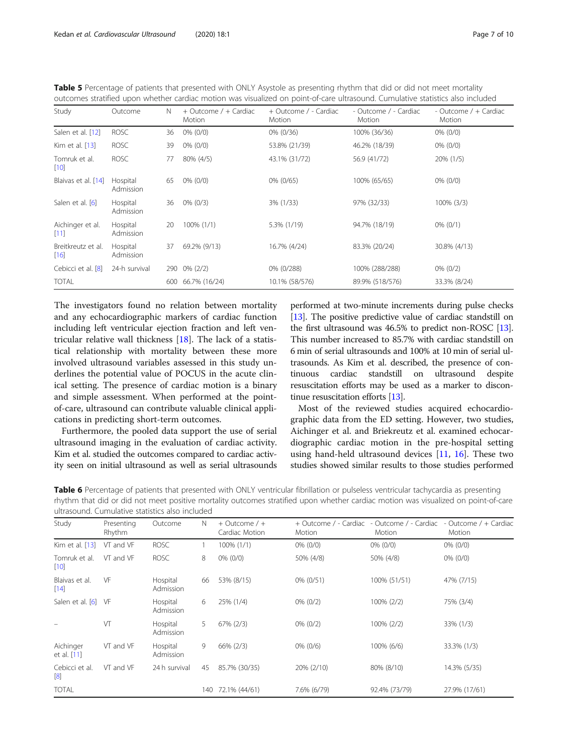<span id="page-6-0"></span>

| Table 5 Percentage of patients that presented with ONLY Asystole as presenting rhythm that did or did not meet mortality        |  |
|---------------------------------------------------------------------------------------------------------------------------------|--|
| outcomes stratified upon whether cardiac motion was visualized on point-of-care ultrasound. Cumulative statistics also included |  |

| Study                      | Outcome               | N   | + Outcome / + Cardiac<br>Motion | + Outcome / - Cardiac<br>Motion | - Outcome / - Cardiac<br>Motion | - Outcome / + Cardiac<br>Motion |
|----------------------------|-----------------------|-----|---------------------------------|---------------------------------|---------------------------------|---------------------------------|
| Salen et al. [12]          | <b>ROSC</b>           | 36  | $0\%$ (0/0)                     | $0\%$ (0/36)                    | 100% (36/36)                    | $0\%$ (0/0)                     |
| Kim et al. [13]            | <b>ROSC</b>           | 39  | $0\%$ (0/0)                     | 53.8% (21/39)                   | 46.2% (18/39)                   | $0\%$ (0/0)                     |
| Tomruk et al.<br>$[10]$    | <b>ROSC</b>           | 77  | 80% (4/5)                       | 43.1% (31/72)                   | 56.9 (41/72)                    | 20% (1/5)                       |
| Blaivas et al. [14]        | Hospital<br>Admission | 65  | $0\%$ (0/0)                     | 0% (0/65)                       | 100% (65/65)                    | $0\%$ (0/0)                     |
| Salen et al. [6]           | Hospital<br>Admission | 36  | $0\%$ (0/3)                     | 3% (1/33)                       | 97% (32/33)                     | $100\%$ (3/3)                   |
| Aichinger et al.<br>[11]   | Hospital<br>Admission | 20  | 100% (1/1)                      | 5.3% (1/19)                     | 94.7% (18/19)                   | $0\%$ (0/1)                     |
| Breitkreutz et al.<br>[16] | Hospital<br>Admission | 37  | 69.2% (9/13)                    | 16.7% (4/24)                    | 83.3% (20/24)                   | 30.8% (4/13)                    |
| Cebicci et al. [8]         | 24-h survival         | 290 | $0\% (2/2)$                     | 0% (0/288)                      | 100% (288/288)                  | $0\%$ (0/2)                     |
| <b>TOTAL</b>               |                       | 600 | 66.7% (16/24)                   | 10.1% (58/576)                  | 89.9% (518/576)                 | 33.3% (8/24)                    |

The investigators found no relation between mortality and any echocardiographic markers of cardiac function including left ventricular ejection fraction and left ventricular relative wall thickness [[18\]](#page-9-0). The lack of a statistical relationship with mortality between these more involved ultrasound variables assessed in this study underlines the potential value of POCUS in the acute clinical setting. The presence of cardiac motion is a binary and simple assessment. When performed at the pointof-care, ultrasound can contribute valuable clinical applications in predicting short-term outcomes.

Furthermore, the pooled data support the use of serial ultrasound imaging in the evaluation of cardiac activity. Kim et al. studied the outcomes compared to cardiac activity seen on initial ultrasound as well as serial ultrasounds

performed at two-minute increments during pulse checks [[13](#page-9-0)]. The positive predictive value of cardiac standstill on the first ultrasound was 46.5% to predict non-ROSC [\[13](#page-9-0)]. This number increased to 85.7% with cardiac standstill on 6 min of serial ultrasounds and 100% at 10 min of serial ultrasounds. As Kim et al. described, the presence of continuous cardiac standstill on ultrasound despite resuscitation efforts may be used as a marker to discontinue resuscitation efforts [\[13\]](#page-9-0).

Most of the reviewed studies acquired echocardiographic data from the ED setting. However, two studies, Aichinger et al. and Briekreutz et al. examined echocardiographic cardiac motion in the pre-hospital setting using hand-held ultrasound devices [[11](#page-9-0), [16](#page-9-0)]. These two studies showed similar results to those studies performed

Table 6 Percentage of patients that presented with ONLY ventricular fibrillation or pulseless ventricular tachycardia as presenting rhythm that did or did not meet positive mortality outcomes stratified upon whether cardiac motion was visualized on point-of-care ultrasound. Cumulative statistics also included

| Study                    | Presenting<br>Rhythm | Outcome               | N   | $+$ Outcome / $+$<br>Cardiac Motion | + Outcome / - Cardiac<br>Motion | - Outcome / - Cardiac<br>Motion | - Outcome / + Cardiac<br>Motion |
|--------------------------|----------------------|-----------------------|-----|-------------------------------------|---------------------------------|---------------------------------|---------------------------------|
| Kim et al. [13]          | VT and VF            | <b>ROSC</b>           |     | 100% (1/1)                          | $0\%$ (0/0)                     | $0\%$ (0/0)                     | $0\%$ (0/0)                     |
| Tomruk et al.<br>$[10]$  | VT and VF            | <b>ROSC</b>           | 8   | $0\%$ (0/0)                         | 50% (4/8)                       | 50% (4/8)                       | $0\%$ (0/0)                     |
| Blaivas et al.<br>$[14]$ | VF                   | Hospital<br>Admission | 66  | 53% (8/15)                          | 0% (0/51)                       | 100% (51/51)                    | 47% (7/15)                      |
| Salen et al. [6] VF      |                      | Hospital<br>Admission | 6   | 25% (1/4)                           | $0\%$ (0/2)                     | 100% (2/2)                      | 75% (3/4)                       |
|                          | VT                   | Hospital<br>Admission | 5   | 67% (2/3)                           | $0\%$ (0/2)                     | 100% (2/2)                      | 33% (1/3)                       |
| Aichinger<br>et al. [11] | VT and VF            | Hospital<br>Admission | 9   | 66% (2/3)                           | $0\%$ (0/6)                     | 100% (6/6)                      | 33.3% (1/3)                     |
| Cebicci et al.<br>[8]    | VT and VF            | 24 h survival         | 45  | 85.7% (30/35)                       | 20% (2/10)                      | 80% (8/10)                      | 14.3% (5/35)                    |
| <b>TOTAL</b>             |                      |                       | 140 | 72.1% (44/61)                       | 7.6% (6/79)                     | 92.4% (73/79)                   | 27.9% (17/61)                   |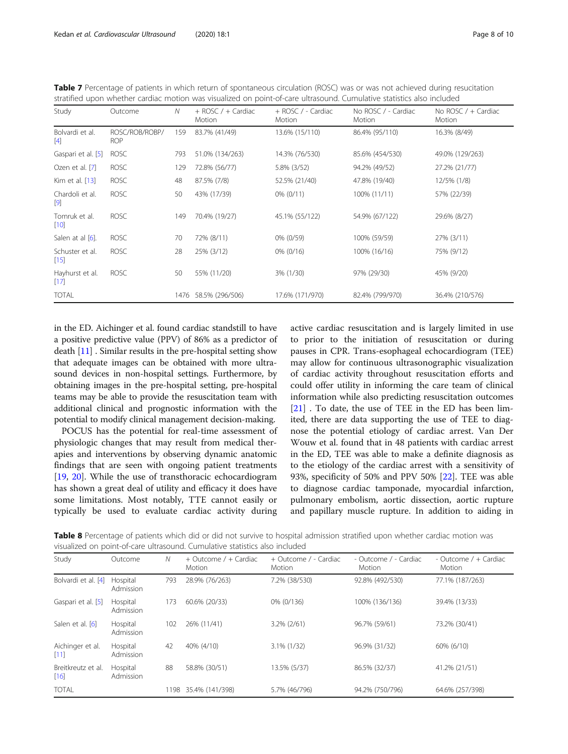<span id="page-7-0"></span>

| Table 7 Percentage of patients in which return of spontaneous circulation (ROSC) was or was not achieved during resucitation |  |
|------------------------------------------------------------------------------------------------------------------------------|--|
| stratified upon whether cardiac motion was visualized on point-of-care ultrasound. Cumulative statistics also included       |  |

| Study                     | Outcome                      | N    | $+$ ROSC / $+$ Cardiac<br>Motion | + ROSC / - Cardiac<br>Motion | No ROSC / - Cardiac<br>Motion | No ROSC $/ +$ Cardiac<br>Motion |
|---------------------------|------------------------------|------|----------------------------------|------------------------------|-------------------------------|---------------------------------|
| Bolvardi et al.<br>$[4]$  | ROSC/ROB/ROBP/<br><b>ROP</b> | 159  | 83.7% (41/49)                    | 13.6% (15/110)               | 86.4% (95/110)                | 16.3% (8/49)                    |
| Gaspari et al. [5]        | <b>ROSC</b>                  | 793  | 51.0% (134/263)                  | 14.3% (76/530)               | 85.6% (454/530)               | 49.0% (129/263)                 |
| Ozen et al. [7]           | <b>ROSC</b>                  | 129  | 72.8% (56/77)                    | 5.8% (3/52)                  | 94.2% (49/52)                 | 27.2% (21/77)                   |
| Kim et al. [13]           | <b>ROSC</b>                  | 48   | 87.5% (7/8)                      | 52.5% (21/40)                | 47.8% (19/40)                 | 12/5% (1/8)                     |
| Chardoli et al.<br>[9]    | <b>ROSC</b>                  | 50   | 43% (17/39)                      | $0\%$ (0/11)                 | 100% (11/11)                  | 57% (22/39)                     |
| Tomruk et al.<br>$[10]$   | <b>ROSC</b>                  | 149  | 70.4% (19/27)                    | 45.1% (55/122)               | 54.9% (67/122)                | 29.6% (8/27)                    |
| Salen at al [6].          | <b>ROSC</b>                  | 70   | 72% (8/11)                       | 0% (0/59)                    | 100% (59/59)                  | 27% (3/11)                      |
| Schuster et al.<br>$[15]$ | <b>ROSC</b>                  | 28   | 25% (3/12)                       | $0\%$ (0/16)                 | 100% (16/16)                  | 75% (9/12)                      |
| Hayhurst et al.<br>$[17]$ | <b>ROSC</b>                  | 50   | 55% (11/20)                      | 3% (1/30)                    | 97% (29/30)                   | 45% (9/20)                      |
| <b>TOTAL</b>              |                              | 1476 | 58.5% (296/506)                  | 17.6% (171/970)              | 82.4% (799/970)               | 36.4% (210/576)                 |

in the ED. Aichinger et al. found cardiac standstill to have a positive predictive value (PPV) of 86% as a predictor of death [\[11](#page-9-0)] . Similar results in the pre-hospital setting show that adequate images can be obtained with more ultrasound devices in non-hospital settings. Furthermore, by obtaining images in the pre-hospital setting, pre-hospital teams may be able to provide the resuscitation team with additional clinical and prognostic information with the potential to modify clinical management decision-making.

POCUS has the potential for real-time assessment of physiologic changes that may result from medical therapies and interventions by observing dynamic anatomic findings that are seen with ongoing patient treatments [[19,](#page-9-0) [20](#page-9-0)]. While the use of transthoracic echocardiogram has shown a great deal of utility and efficacy it does have some limitations. Most notably, TTE cannot easily or typically be used to evaluate cardiac activity during active cardiac resuscitation and is largely limited in use to prior to the initiation of resuscitation or during pauses in CPR. Trans-esophageal echocardiogram (TEE) may allow for continuous ultrasonographic visualization of cardiac activity throughout resuscitation efforts and could offer utility in informing the care team of clinical information while also predicting resuscitation outcomes [[21\]](#page-9-0). To date, the use of TEE in the ED has been limited, there are data supporting the use of TEE to diagnose the potential etiology of cardiac arrest. Van Der Wouw et al. found that in 48 patients with cardiac arrest in the ED, TEE was able to make a definite diagnosis as to the etiology of the cardiac arrest with a sensitivity of 93%, specificity of 50% and PPV 50% [\[22](#page-9-0)]. TEE was able to diagnose cardiac tamponade, myocardial infarction, pulmonary embolism, aortic dissection, aortic rupture and papillary muscle rupture. In addition to aiding in

Table 8 Percentage of patients which did or did not survive to hospital admission stratified upon whether cardiac motion was visualized on point-of-care ultrasound. Cumulative statistics also included

| Study                      | Outcome               | N   | $+$ Outcome / $+$ Cardiac<br>Motion | + Outcome / - Cardiac<br>Motion | - Outcome / - Cardiac<br>Motion | - Outcome $/ +$ Cardiac<br>Motion |
|----------------------------|-----------------------|-----|-------------------------------------|---------------------------------|---------------------------------|-----------------------------------|
| Bolvardi et al. [4]        | Hospital<br>Admission | 793 | 28.9% (76/263)                      | 7.2% (38/530)                   | 92.8% (492/530)                 | 77.1% (187/263)                   |
| Gaspari et al. [5]         | Hospital<br>Admission | 173 | 60.6% (20/33)                       | 0% (0/136)                      | 100% (136/136)                  | 39.4% (13/33)                     |
| Salen et al. [6]           | Hospital<br>Admission | 102 | 26% (11/41)                         | 3.2% (2/61)                     | 96.7% (59/61)                   | 73.2% (30/41)                     |
| Aichinger et al.<br>[11]   | Hospital<br>Admission | 42  | 40% (4/10)                          | 3.1% (1/32)                     | 96.9% (31/32)                   | 60% (6/10)                        |
| Breitkreutz et al.<br>[16] | Hospital<br>Admission | 88  | 58.8% (30/51)                       | 13.5% (5/37)                    | 86.5% (32/37)                   | 41.2% (21/51)                     |
| <b>TOTAL</b>               |                       | 198 | 35.4% (141/398)                     | 5.7% (46/796)                   | 94.2% (750/796)                 | 64.6% (257/398)                   |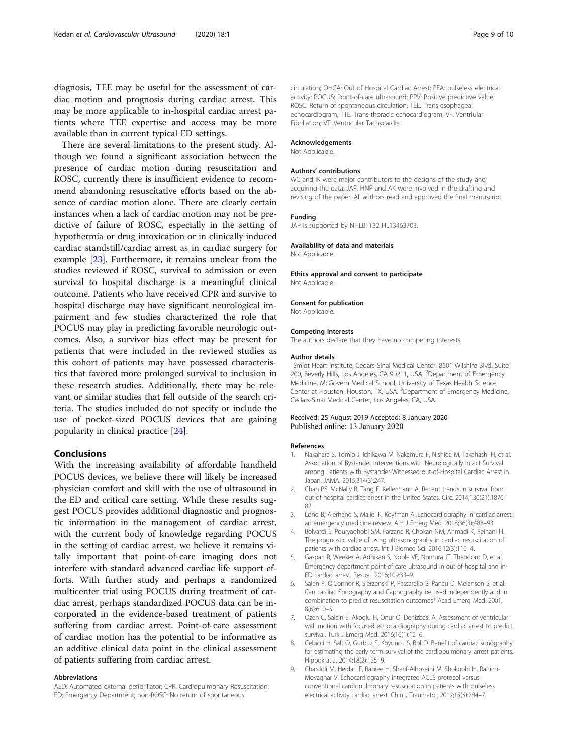<span id="page-8-0"></span>diagnosis, TEE may be useful for the assessment of cardiac motion and prognosis during cardiac arrest. This may be more applicable to in-hospital cardiac arrest patients where TEE expertise and access may be more available than in current typical ED settings.

There are several limitations to the present study. Although we found a significant association between the presence of cardiac motion during resuscitation and ROSC, currently there is insufficient evidence to recommend abandoning resuscitative efforts based on the absence of cardiac motion alone. There are clearly certain instances when a lack of cardiac motion may not be predictive of failure of ROSC, especially in the setting of hypothermia or drug intoxication or in clinically induced cardiac standstill/cardiac arrest as in cardiac surgery for example [[23](#page-9-0)]. Furthermore, it remains unclear from the studies reviewed if ROSC, survival to admission or even survival to hospital discharge is a meaningful clinical outcome. Patients who have received CPR and survive to hospital discharge may have significant neurological impairment and few studies characterized the role that POCUS may play in predicting favorable neurologic outcomes. Also, a survivor bias effect may be present for patients that were included in the reviewed studies as this cohort of patients may have possessed characteristics that favored more prolonged survival to inclusion in these research studies. Additionally, there may be relevant or similar studies that fell outside of the search criteria. The studies included do not specify or include the use of pocket-sized POCUS devices that are gaining popularity in clinical practice [\[24](#page-9-0)].

### Conclusions

With the increasing availability of affordable handheld POCUS devices, we believe there will likely be increased physician comfort and skill with the use of ultrasound in the ED and critical care setting. While these results suggest POCUS provides additional diagnostic and prognostic information in the management of cardiac arrest, with the current body of knowledge regarding POCUS in the setting of cardiac arrest, we believe it remains vitally important that point-of-care imaging does not interfere with standard advanced cardiac life support efforts. With further study and perhaps a randomized multicenter trial using POCUS during treatment of cardiac arrest, perhaps standardized POCUS data can be incorporated in the evidence-based treatment of patients suffering from cardiac arrest. Point-of-care assessment of cardiac motion has the potential to be informative as an additive clinical data point in the clinical assessment of patients suffering from cardiac arrest.

#### Abbreviations

AED: Automated external defibrillator; CPR: Cardiopulmonary Resuscitation; ED: Emergency Department; non-ROSC: No return of spontaneous

circulation; OHCA: Out of Hospital Cardiac Arrest; PEA: pulseless electrical activity; POCUS: Point-of-care ultrasound; PPV: Positive predictive value; ROSC: Return of spontaneous circulation; TEE: Trans-esophageal echocardiogram; TTE: Trans-thoracic echocardiogram; VF: Ventriular Fibrillation; VT: Ventricular Tachycardia

#### Acknowledgements

Not Applicable.

#### Authors' contributions

WC and IK were major contributors to the designs of the study and acquiring the data. JAP, HNP and AK were involved in the drafting and revising of the paper. All authors read and approved the final manuscript.

#### Funding

JAP is supported by NHLBI T32 HL13463703.

#### Availability of data and materials

Not Applicable.

Ethics approval and consent to participate Not Applicable.

#### Consent for publication

Not Applicable.

#### Competing interests

The authors declare that they have no competing interests.

#### Author details

<sup>1</sup>Smidt Heart Institute, Cedars-Sinai Medical Center, 8501 Wilshire Blvd. Suite 200, Beverly Hills, Los Angeles, CA 90211, USA. <sup>2</sup>Department of Emergency Medicine, McGovern Medical School, University of Texas Health Science Center at Houston, Houston, TX, USA. <sup>3</sup>Department of Emergency Medicine, Cedars-Sinai Medical Center, Los Angeles, CA, USA.

#### Received: 25 August 2019 Accepted: 8 January 2020 Published online: 13 January 2020

#### References

- 1. Nakahara S, Tomio J, Ichikawa M, Nakamura F, Nishida M, Takahashi H, et al. Association of Bystander Interventions with Neurologically Intact Survival among Patients with Bystander-Witnessed out-of-Hospital Cardiac Arrest in Japan. JAMA. 2015;314(3):247.
- 2. Chan PS, McNally B, Tang F, Kellermann A. Recent trends in survival from out-of-hospital cardiac arrest in the United States. Circ. 2014;130(21):1876– 82.
- 3. Long B, Alerhand S, Maliel K, Koyfman A. Echocardiography in cardiac arrest: an emergency medicine review. Am J Emerg Med. 2018;36(3):488–93.
- 4. Bolvardi E, Pouryaghobi SM, Farzane R, Chokan NM, Ahmadi K, Reihani H. The prognostic value of using ultrasonography in cardiac resuscitation of patients with cardiac arrest. Int J Biomed Sci. 2016;12(3):110–4.
- 5. Gaspari R, Weekes A, Adhikari S, Noble VE, Nomura JT, Theodoro D, et al. Emergency department point-of-care ultrasound in out-of-hospital and in-ED cardiac arrest. Resusc. 2016;109:33–9.
- 6. Salen P, O'Connor R, Sierzenski P, Passarello B, Pancu D, Melanson S, et al. Can cardiac Sonography and Capnography be used independently and in combination to predict resuscitation outcomes? Acad Emerg Med. 2001; 8(6):610–5.
- 7. Ozen C, Salcin E, Akoglu H, Onur O, Denizbasi A. Assessment of ventricular wall motion with focused echocardiography during cardiac arrest to predict survival. Turk J Emerg Med. 2016;16(1):12–6.
- 8. Cebicci H, Salt O, Gurbuz S, Koyuncu S, Bol O. Benefit of cardiac sonography for estimating the early term survival of the cardiopulmonary arrest patients. Hippokratia. 2014;18(2):125–9.
- 9. Chardoli M, Heidari F, Rabiee H, Sharif-Alhoseini M, Shokoohi H, Rahimi-Movaghar V. Echocardiography integrated ACLS protocol versus conventional cardiopulmonary resuscitation in patients with pulseless electrical activity cardiac arrest. Chin J Traumatol. 2012;15(5):284–7.